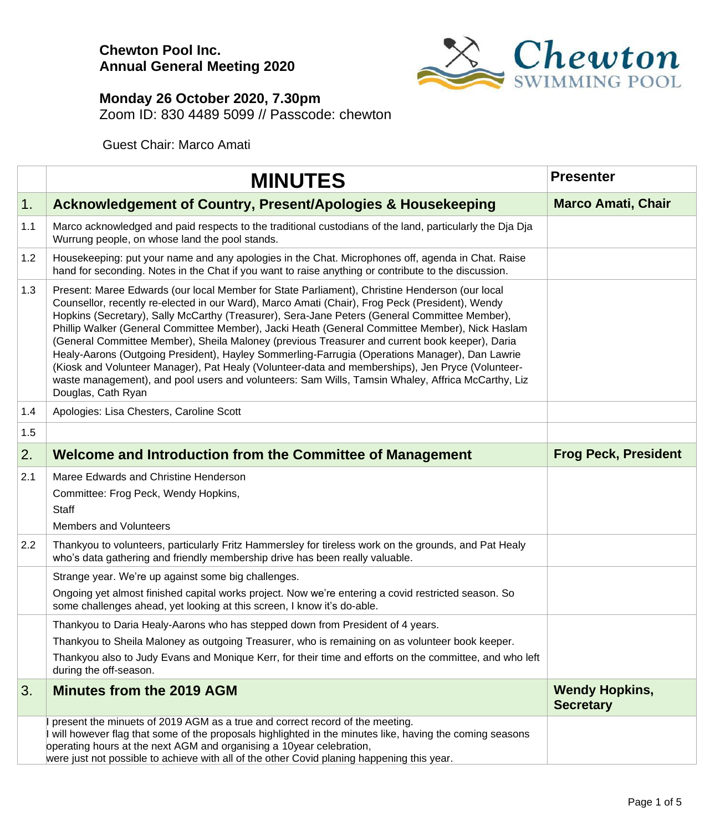

#### **Monday 26 October 2020, 7.30pm**

Zoom ID: 830 4489 5099 // Passcode: chewton

Guest Chair: Marco Amati

|     | <b>MINUTES</b>                                                                                                                                                                                                                                                                                                                                                                                                                                                                                                                                                                                                                                                                                                                                                                                                                          | <b>Presenter</b>                          |
|-----|-----------------------------------------------------------------------------------------------------------------------------------------------------------------------------------------------------------------------------------------------------------------------------------------------------------------------------------------------------------------------------------------------------------------------------------------------------------------------------------------------------------------------------------------------------------------------------------------------------------------------------------------------------------------------------------------------------------------------------------------------------------------------------------------------------------------------------------------|-------------------------------------------|
| 1.  | Acknowledgement of Country, Present/Apologies & Housekeeping                                                                                                                                                                                                                                                                                                                                                                                                                                                                                                                                                                                                                                                                                                                                                                            | <b>Marco Amati, Chair</b>                 |
| 1.1 | Marco acknowledged and paid respects to the traditional custodians of the land, particularly the Dja Dja<br>Wurrung people, on whose land the pool stands.                                                                                                                                                                                                                                                                                                                                                                                                                                                                                                                                                                                                                                                                              |                                           |
| 1.2 | Housekeeping: put your name and any apologies in the Chat. Microphones off, agenda in Chat. Raise<br>hand for seconding. Notes in the Chat if you want to raise anything or contribute to the discussion.                                                                                                                                                                                                                                                                                                                                                                                                                                                                                                                                                                                                                               |                                           |
| 1.3 | Present: Maree Edwards (our local Member for State Parliament), Christine Henderson (our local<br>Counsellor, recently re-elected in our Ward), Marco Amati (Chair), Frog Peck (President), Wendy<br>Hopkins (Secretary), Sally McCarthy (Treasurer), Sera-Jane Peters (General Committee Member),<br>Phillip Walker (General Committee Member), Jacki Heath (General Committee Member), Nick Haslam<br>(General Committee Member), Sheila Maloney (previous Treasurer and current book keeper), Daria<br>Healy-Aarons (Outgoing President), Hayley Sommerling-Farrugia (Operations Manager), Dan Lawrie<br>(Kiosk and Volunteer Manager), Pat Healy (Volunteer-data and memberships), Jen Pryce (Volunteer-<br>waste management), and pool users and volunteers: Sam Wills, Tamsin Whaley, Affrica McCarthy, Liz<br>Douglas, Cath Ryan |                                           |
| 1.4 | Apologies: Lisa Chesters, Caroline Scott                                                                                                                                                                                                                                                                                                                                                                                                                                                                                                                                                                                                                                                                                                                                                                                                |                                           |
| 1.5 |                                                                                                                                                                                                                                                                                                                                                                                                                                                                                                                                                                                                                                                                                                                                                                                                                                         |                                           |
| 2.  | Welcome and Introduction from the Committee of Management                                                                                                                                                                                                                                                                                                                                                                                                                                                                                                                                                                                                                                                                                                                                                                               | <b>Frog Peck, President</b>               |
| 2.1 | Maree Edwards and Christine Henderson<br>Committee: Frog Peck, Wendy Hopkins,<br><b>Staff</b><br><b>Members and Volunteers</b>                                                                                                                                                                                                                                                                                                                                                                                                                                                                                                                                                                                                                                                                                                          |                                           |
| 2.2 | Thankyou to volunteers, particularly Fritz Hammersley for tireless work on the grounds, and Pat Healy<br>who's data gathering and friendly membership drive has been really valuable.                                                                                                                                                                                                                                                                                                                                                                                                                                                                                                                                                                                                                                                   |                                           |
|     | Strange year. We're up against some big challenges.<br>Ongoing yet almost finished capital works project. Now we're entering a covid restricted season. So<br>some challenges ahead, yet looking at this screen, I know it's do-able.                                                                                                                                                                                                                                                                                                                                                                                                                                                                                                                                                                                                   |                                           |
|     | Thankyou to Daria Healy-Aarons who has stepped down from President of 4 years.                                                                                                                                                                                                                                                                                                                                                                                                                                                                                                                                                                                                                                                                                                                                                          |                                           |
|     | Thankyou to Sheila Maloney as outgoing Treasurer, who is remaining on as volunteer book keeper.<br>Thankyou also to Judy Evans and Monique Kerr, for their time and efforts on the committee, and who left<br>during the off-season.                                                                                                                                                                                                                                                                                                                                                                                                                                                                                                                                                                                                    |                                           |
| 3.  | <b>Minutes from the 2019 AGM</b>                                                                                                                                                                                                                                                                                                                                                                                                                                                                                                                                                                                                                                                                                                                                                                                                        | <b>Wendy Hopkins,</b><br><b>Secretary</b> |
|     | present the minuets of 2019 AGM as a true and correct record of the meeting.<br>I will however flag that some of the proposals highlighted in the minutes like, having the coming seasons<br>operating hours at the next AGM and organising a 10year celebration,<br>were just not possible to achieve with all of the other Covid planing happening this year.                                                                                                                                                                                                                                                                                                                                                                                                                                                                         |                                           |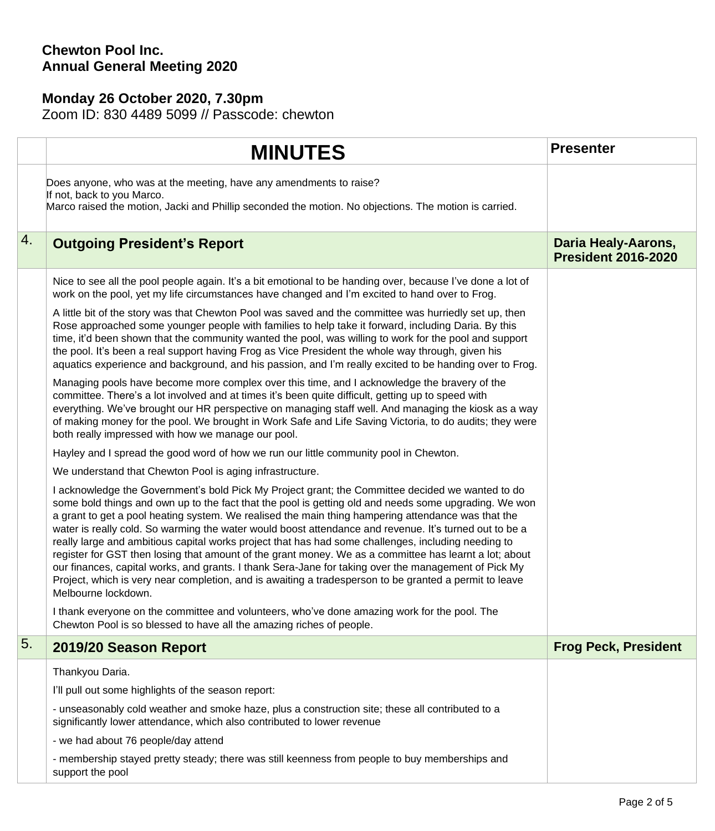### **Chewton Pool Inc. Annual General Meeting 2020**

## **Monday 26 October 2020, 7.30pm**

Zoom ID: 830 4489 5099 // Passcode: chewton

|    | <b>MINUTES</b>                                                                                                                                                                                                                                                                                                                                                                                                                                                                                                                                                                                                                                                                                                                                                                                                                                                                      | <b>Presenter</b>                                  |
|----|-------------------------------------------------------------------------------------------------------------------------------------------------------------------------------------------------------------------------------------------------------------------------------------------------------------------------------------------------------------------------------------------------------------------------------------------------------------------------------------------------------------------------------------------------------------------------------------------------------------------------------------------------------------------------------------------------------------------------------------------------------------------------------------------------------------------------------------------------------------------------------------|---------------------------------------------------|
|    | Does anyone, who was at the meeting, have any amendments to raise?<br>If not, back to you Marco.<br>Marco raised the motion, Jacki and Phillip seconded the motion. No objections. The motion is carried.                                                                                                                                                                                                                                                                                                                                                                                                                                                                                                                                                                                                                                                                           |                                                   |
| 4. | <b>Outgoing President's Report</b>                                                                                                                                                                                                                                                                                                                                                                                                                                                                                                                                                                                                                                                                                                                                                                                                                                                  | Daria Healy-Aarons,<br><b>President 2016-2020</b> |
|    | Nice to see all the pool people again. It's a bit emotional to be handing over, because I've done a lot of<br>work on the pool, yet my life circumstances have changed and I'm excited to hand over to Frog.                                                                                                                                                                                                                                                                                                                                                                                                                                                                                                                                                                                                                                                                        |                                                   |
|    | A little bit of the story was that Chewton Pool was saved and the committee was hurriedly set up, then<br>Rose approached some younger people with families to help take it forward, including Daria. By this<br>time, it'd been shown that the community wanted the pool, was willing to work for the pool and support<br>the pool. It's been a real support having Frog as Vice President the whole way through, given his<br>aquatics experience and background, and his passion, and I'm really excited to be handing over to Frog.                                                                                                                                                                                                                                                                                                                                             |                                                   |
|    | Managing pools have become more complex over this time, and I acknowledge the bravery of the<br>committee. There's a lot involved and at times it's been quite difficult, getting up to speed with<br>everything. We've brought our HR perspective on managing staff well. And managing the kiosk as a way<br>of making money for the pool. We brought in Work Safe and Life Saving Victoria, to do audits; they were<br>both really impressed with how we manage our pool.                                                                                                                                                                                                                                                                                                                                                                                                         |                                                   |
|    | Hayley and I spread the good word of how we run our little community pool in Chewton.                                                                                                                                                                                                                                                                                                                                                                                                                                                                                                                                                                                                                                                                                                                                                                                               |                                                   |
|    | We understand that Chewton Pool is aging infrastructure.                                                                                                                                                                                                                                                                                                                                                                                                                                                                                                                                                                                                                                                                                                                                                                                                                            |                                                   |
|    | I acknowledge the Government's bold Pick My Project grant; the Committee decided we wanted to do<br>some bold things and own up to the fact that the pool is getting old and needs some upgrading. We won<br>a grant to get a pool heating system. We realised the main thing hampering attendance was that the<br>water is really cold. So warming the water would boost attendance and revenue. It's turned out to be a<br>really large and ambitious capital works project that has had some challenges, including needing to<br>register for GST then losing that amount of the grant money. We as a committee has learnt a lot; about<br>our finances, capital works, and grants. I thank Sera-Jane for taking over the management of Pick My<br>Project, which is very near completion, and is awaiting a tradesperson to be granted a permit to leave<br>Melbourne lockdown. |                                                   |
|    | I thank everyone on the committee and volunteers, who've done amazing work for the pool. The<br>Chewton Pool is so blessed to have all the amazing riches of people.                                                                                                                                                                                                                                                                                                                                                                                                                                                                                                                                                                                                                                                                                                                |                                                   |
| 5. | 2019/20 Season Report                                                                                                                                                                                                                                                                                                                                                                                                                                                                                                                                                                                                                                                                                                                                                                                                                                                               | <b>Frog Peck, President</b>                       |
|    | Thankyou Daria.                                                                                                                                                                                                                                                                                                                                                                                                                                                                                                                                                                                                                                                                                                                                                                                                                                                                     |                                                   |
|    | I'll pull out some highlights of the season report:                                                                                                                                                                                                                                                                                                                                                                                                                                                                                                                                                                                                                                                                                                                                                                                                                                 |                                                   |
|    | - unseasonably cold weather and smoke haze, plus a construction site; these all contributed to a<br>significantly lower attendance, which also contributed to lower revenue                                                                                                                                                                                                                                                                                                                                                                                                                                                                                                                                                                                                                                                                                                         |                                                   |
|    | - we had about 76 people/day attend                                                                                                                                                                                                                                                                                                                                                                                                                                                                                                                                                                                                                                                                                                                                                                                                                                                 |                                                   |
|    | - membership stayed pretty steady; there was still keenness from people to buy memberships and<br>support the pool                                                                                                                                                                                                                                                                                                                                                                                                                                                                                                                                                                                                                                                                                                                                                                  |                                                   |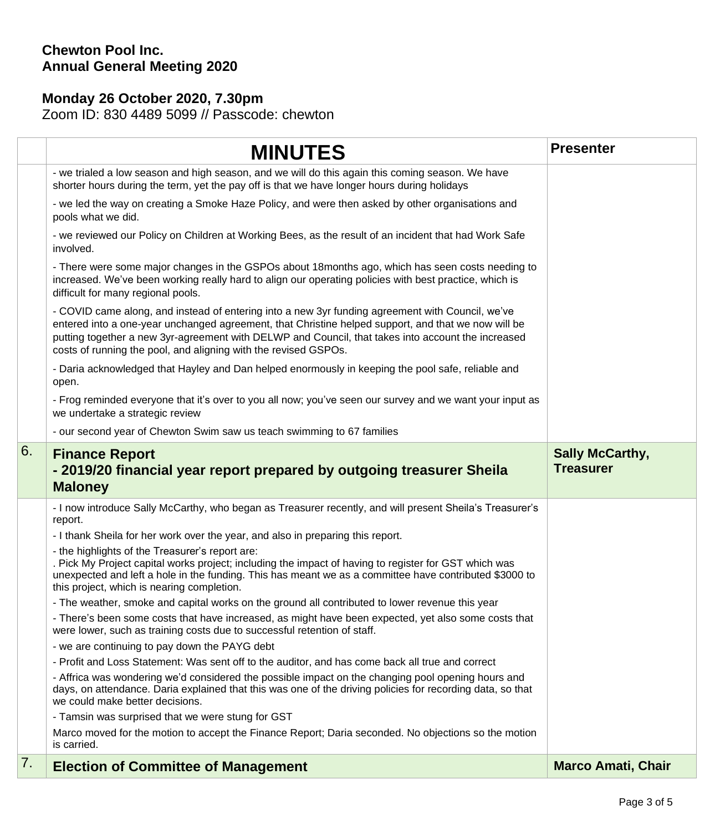## **Chewton Pool Inc. Annual General Meeting 2020**

# **Monday 26 October 2020, 7.30pm**

Zoom ID: 830 4489 5099 // Passcode: chewton

|    | <b>MINUTES</b>                                                                                                                                                                                                                                                                                                                                                                   | <b>Presenter</b>                           |
|----|----------------------------------------------------------------------------------------------------------------------------------------------------------------------------------------------------------------------------------------------------------------------------------------------------------------------------------------------------------------------------------|--------------------------------------------|
|    | - we trialed a low season and high season, and we will do this again this coming season. We have<br>shorter hours during the term, yet the pay off is that we have longer hours during holidays                                                                                                                                                                                  |                                            |
|    | - we led the way on creating a Smoke Haze Policy, and were then asked by other organisations and<br>pools what we did.                                                                                                                                                                                                                                                           |                                            |
|    | - we reviewed our Policy on Children at Working Bees, as the result of an incident that had Work Safe<br>involved.                                                                                                                                                                                                                                                               |                                            |
|    | - There were some major changes in the GSPOs about 18months ago, which has seen costs needing to<br>increased. We've been working really hard to align our operating policies with best practice, which is<br>difficult for many regional pools.                                                                                                                                 |                                            |
|    | - COVID came along, and instead of entering into a new 3yr funding agreement with Council, we've<br>entered into a one-year unchanged agreement, that Christine helped support, and that we now will be<br>putting together a new 3yr-agreement with DELWP and Council, that takes into account the increased<br>costs of running the pool, and aligning with the revised GSPOs. |                                            |
|    | - Daria acknowledged that Hayley and Dan helped enormously in keeping the pool safe, reliable and<br>open.                                                                                                                                                                                                                                                                       |                                            |
|    | - Frog reminded everyone that it's over to you all now; you've seen our survey and we want your input as<br>we undertake a strategic review                                                                                                                                                                                                                                      |                                            |
|    | - our second year of Chewton Swim saw us teach swimming to 67 families                                                                                                                                                                                                                                                                                                           |                                            |
| 6. | <b>Finance Report</b><br>- 2019/20 financial year report prepared by outgoing treasurer Sheila<br><b>Maloney</b>                                                                                                                                                                                                                                                                 | <b>Sally McCarthy,</b><br><b>Treasurer</b> |
|    | - I now introduce Sally McCarthy, who began as Treasurer recently, and will present Sheila's Treasurer's<br>report.                                                                                                                                                                                                                                                              |                                            |
|    | - I thank Sheila for her work over the year, and also in preparing this report.                                                                                                                                                                                                                                                                                                  |                                            |
|    | - the highlights of the Treasurer's report are:<br>. Pick My Project capital works project; including the impact of having to register for GST which was<br>unexpected and left a hole in the funding. This has meant we as a committee have contributed \$3000 to<br>this project, which is nearing completion.                                                                 |                                            |
|    | - The weather, smoke and capital works on the ground all contributed to lower revenue this year                                                                                                                                                                                                                                                                                  |                                            |
|    | - There's been some costs that have increased, as might have been expected, yet also some costs that<br>were lower, such as training costs due to successful retention of staff.                                                                                                                                                                                                 |                                            |
|    | - we are continuing to pay down the PAYG debt                                                                                                                                                                                                                                                                                                                                    |                                            |
|    | - Profit and Loss Statement: Was sent off to the auditor, and has come back all true and correct                                                                                                                                                                                                                                                                                 |                                            |
|    | - Affrica was wondering we'd considered the possible impact on the changing pool opening hours and<br>days, on attendance. Daria explained that this was one of the driving policies for recording data, so that<br>we could make better decisions.                                                                                                                              |                                            |
|    | - Tamsin was surprised that we were stung for GST                                                                                                                                                                                                                                                                                                                                |                                            |
|    | Marco moved for the motion to accept the Finance Report; Daria seconded. No objections so the motion<br>is carried.                                                                                                                                                                                                                                                              |                                            |
| 7. | <b>Election of Committee of Management</b>                                                                                                                                                                                                                                                                                                                                       | <b>Marco Amati, Chair</b>                  |
|    |                                                                                                                                                                                                                                                                                                                                                                                  |                                            |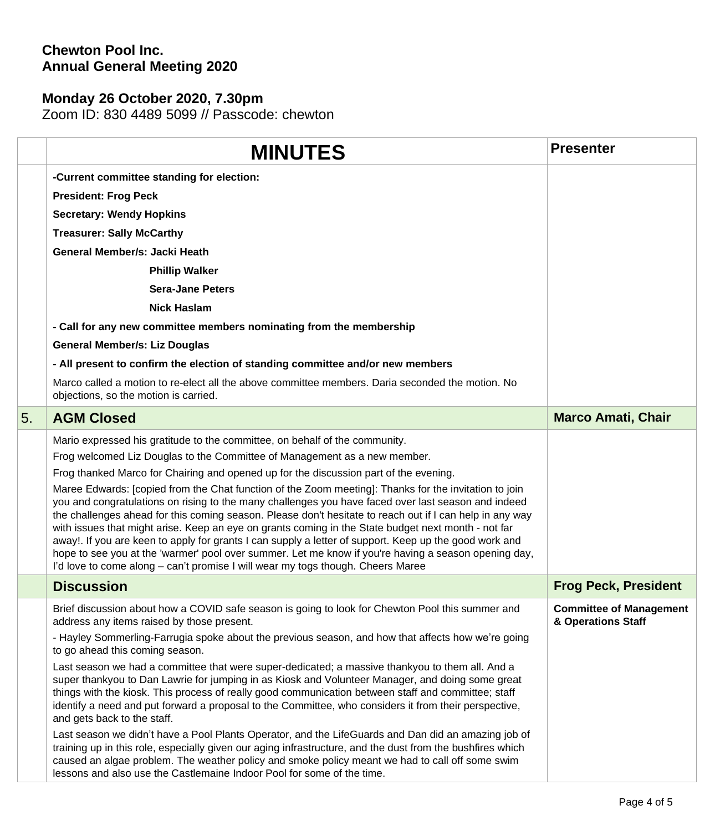### **Chewton Pool Inc. Annual General Meeting 2020**

## **Monday 26 October 2020, 7.30pm**

Zoom ID: 830 4489 5099 // Passcode: chewton

|    | <b>MINUTES</b>                                                                                                                                                                                                                                                                                                                                                                                                                                                                                                                                                                                                                                                                                                                       | <b>Presenter</b>                                     |
|----|--------------------------------------------------------------------------------------------------------------------------------------------------------------------------------------------------------------------------------------------------------------------------------------------------------------------------------------------------------------------------------------------------------------------------------------------------------------------------------------------------------------------------------------------------------------------------------------------------------------------------------------------------------------------------------------------------------------------------------------|------------------------------------------------------|
|    | -Current committee standing for election:                                                                                                                                                                                                                                                                                                                                                                                                                                                                                                                                                                                                                                                                                            |                                                      |
|    | <b>President: Frog Peck</b>                                                                                                                                                                                                                                                                                                                                                                                                                                                                                                                                                                                                                                                                                                          |                                                      |
|    | <b>Secretary: Wendy Hopkins</b>                                                                                                                                                                                                                                                                                                                                                                                                                                                                                                                                                                                                                                                                                                      |                                                      |
|    | <b>Treasurer: Sally McCarthy</b>                                                                                                                                                                                                                                                                                                                                                                                                                                                                                                                                                                                                                                                                                                     |                                                      |
|    | General Member/s: Jacki Heath                                                                                                                                                                                                                                                                                                                                                                                                                                                                                                                                                                                                                                                                                                        |                                                      |
|    | <b>Phillip Walker</b>                                                                                                                                                                                                                                                                                                                                                                                                                                                                                                                                                                                                                                                                                                                |                                                      |
|    | <b>Sera-Jane Peters</b>                                                                                                                                                                                                                                                                                                                                                                                                                                                                                                                                                                                                                                                                                                              |                                                      |
|    | <b>Nick Haslam</b>                                                                                                                                                                                                                                                                                                                                                                                                                                                                                                                                                                                                                                                                                                                   |                                                      |
|    | - Call for any new committee members nominating from the membership                                                                                                                                                                                                                                                                                                                                                                                                                                                                                                                                                                                                                                                                  |                                                      |
|    | <b>General Member/s: Liz Douglas</b>                                                                                                                                                                                                                                                                                                                                                                                                                                                                                                                                                                                                                                                                                                 |                                                      |
|    | - All present to confirm the election of standing committee and/or new members                                                                                                                                                                                                                                                                                                                                                                                                                                                                                                                                                                                                                                                       |                                                      |
|    | Marco called a motion to re-elect all the above committee members. Daria seconded the motion. No<br>objections, so the motion is carried.                                                                                                                                                                                                                                                                                                                                                                                                                                                                                                                                                                                            |                                                      |
| 5. | <b>AGM Closed</b>                                                                                                                                                                                                                                                                                                                                                                                                                                                                                                                                                                                                                                                                                                                    | <b>Marco Amati, Chair</b>                            |
|    | Mario expressed his gratitude to the committee, on behalf of the community.                                                                                                                                                                                                                                                                                                                                                                                                                                                                                                                                                                                                                                                          |                                                      |
|    | Frog welcomed Liz Douglas to the Committee of Management as a new member.                                                                                                                                                                                                                                                                                                                                                                                                                                                                                                                                                                                                                                                            |                                                      |
|    | Frog thanked Marco for Chairing and opened up for the discussion part of the evening.                                                                                                                                                                                                                                                                                                                                                                                                                                                                                                                                                                                                                                                |                                                      |
|    | Maree Edwards: [copied from the Chat function of the Zoom meeting]: Thanks for the invitation to join<br>you and congratulations on rising to the many challenges you have faced over last season and indeed<br>the challenges ahead for this coming season. Please don't hesitate to reach out if I can help in any way<br>with issues that might arise. Keep an eye on grants coming in the State budget next month - not far<br>away!. If you are keen to apply for grants I can supply a letter of support. Keep up the good work and<br>hope to see you at the 'warmer' pool over summer. Let me know if you're having a season opening day,<br>I'd love to come along - can't promise I will wear my togs though. Cheers Maree |                                                      |
|    | <b>Discussion</b>                                                                                                                                                                                                                                                                                                                                                                                                                                                                                                                                                                                                                                                                                                                    | <b>Frog Peck, President</b>                          |
|    | Brief discussion about how a COVID safe season is going to look for Chewton Pool this summer and<br>address any items raised by those present.                                                                                                                                                                                                                                                                                                                                                                                                                                                                                                                                                                                       | <b>Committee of Management</b><br>& Operations Staff |
|    | - Hayley Sommerling-Farrugia spoke about the previous season, and how that affects how we're going<br>to go ahead this coming season.                                                                                                                                                                                                                                                                                                                                                                                                                                                                                                                                                                                                |                                                      |
|    | Last season we had a committee that were super-dedicated; a massive thankyou to them all. And a<br>super thankyou to Dan Lawrie for jumping in as Kiosk and Volunteer Manager, and doing some great<br>things with the kiosk. This process of really good communication between staff and committee; staff<br>identify a need and put forward a proposal to the Committee, who considers it from their perspective,<br>and gets back to the staff.                                                                                                                                                                                                                                                                                   |                                                      |
|    | Last season we didn't have a Pool Plants Operator, and the LifeGuards and Dan did an amazing job of<br>training up in this role, especially given our aging infrastructure, and the dust from the bushfires which<br>caused an algae problem. The weather policy and smoke policy meant we had to call off some swim<br>lessons and also use the Castlemaine Indoor Pool for some of the time.                                                                                                                                                                                                                                                                                                                                       |                                                      |